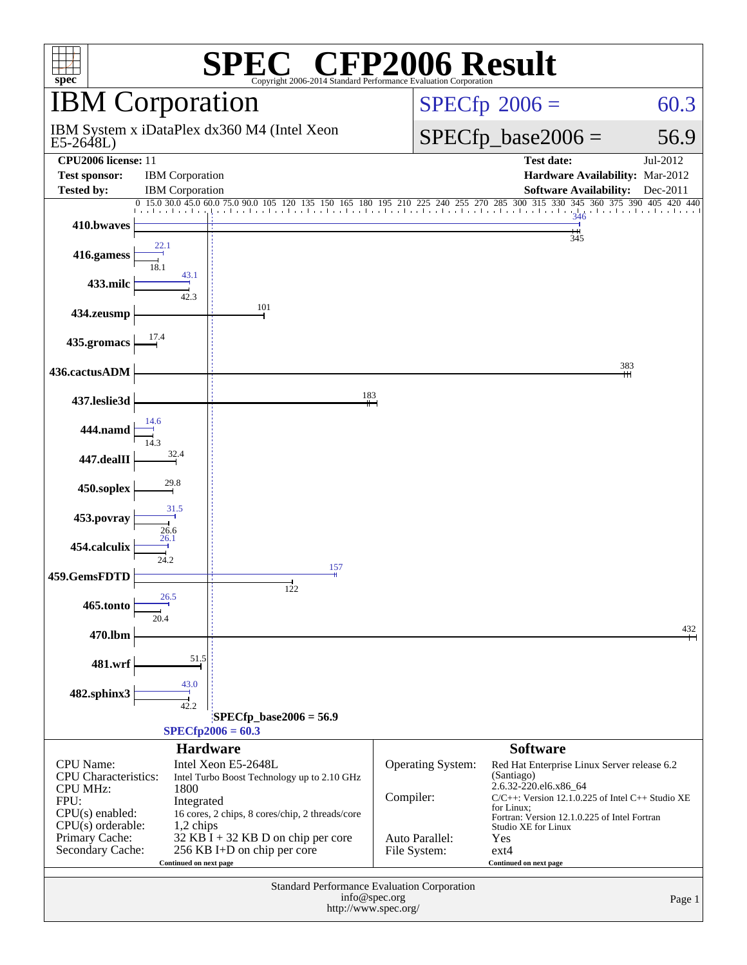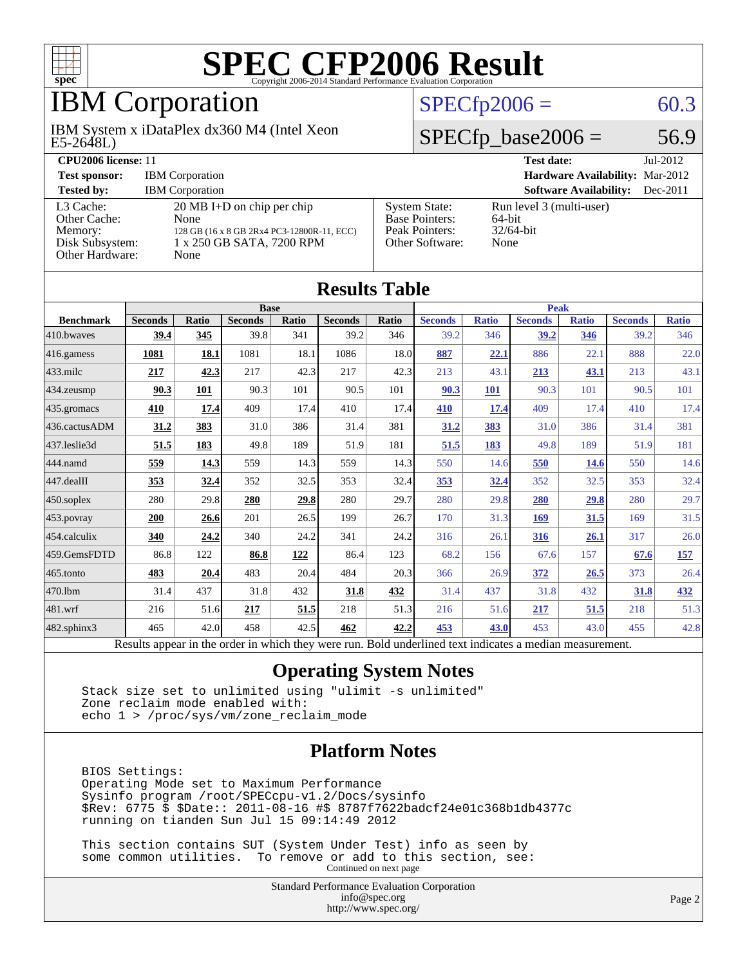

# IBM Corporation

E5-2648L) IBM System x iDataPlex dx360 M4 (Intel Xeon

### $SPECfp2006 = 60.3$  $SPECfp2006 = 60.3$

### $SPECfp\_base2006 = 56.9$

| <b>CPU2006 license: 11</b>                                                 |                                                                                                                                 |                                                                                    | <b>Test date:</b><br>$Jul-2012$                               |
|----------------------------------------------------------------------------|---------------------------------------------------------------------------------------------------------------------------------|------------------------------------------------------------------------------------|---------------------------------------------------------------|
| <b>Test sponsor:</b>                                                       | <b>IBM</b> Corporation                                                                                                          |                                                                                    | Hardware Availability: Mar-2012                               |
| <b>Tested by:</b>                                                          | <b>IBM</b> Corporation                                                                                                          |                                                                                    | <b>Software Availability:</b><br>$Dec-2011$                   |
| L3 Cache:<br>Other Cache:<br>Memory:<br>Disk Subsystem:<br>Other Hardware: | $20 \text{ MB I+D}$ on chip per chip<br>None<br>128 GB (16 x 8 GB 2Rx4 PC3-12800R-11, ECC)<br>1 x 250 GB SATA, 7200 RPM<br>None | <b>System State:</b><br><b>Base Pointers:</b><br>Peak Pointers:<br>Other Software: | Run level 3 (multi-user)<br>$64$ -bit<br>$32/64$ -bit<br>None |

| <b>Results Table</b>   |                                                                                                          |              |                |       |                |              |                |              |                |              |                |              |
|------------------------|----------------------------------------------------------------------------------------------------------|--------------|----------------|-------|----------------|--------------|----------------|--------------|----------------|--------------|----------------|--------------|
|                        | <b>Base</b>                                                                                              |              |                |       |                | <b>Peak</b>  |                |              |                |              |                |              |
| <b>Benchmark</b>       | <b>Seconds</b>                                                                                           | <b>Ratio</b> | <b>Seconds</b> | Ratio | <b>Seconds</b> | <b>Ratio</b> | <b>Seconds</b> | <b>Ratio</b> | <b>Seconds</b> | <b>Ratio</b> | <b>Seconds</b> | <b>Ratio</b> |
| 410.bwayes             | 39.4                                                                                                     | 345          | 39.8           | 341   | 39.2           | 346          | 39.2           | 346          | 39.2           | 346          | 39.2           | 346          |
| 416.gamess             | 1081                                                                                                     | 18.1         | 1081           | 18.1  | 1086           | 18.0         | 887            | 22.1         | 886            | 22.1         | 888            | 22.0         |
| $433$ .milc            | 217                                                                                                      | 42.3         | 217            | 42.3  | 217            | 42.3         | 213            | 43.1         | 213            | 43.1         | 213            | 43.1         |
| $434$ . zeusmp         | 90.3                                                                                                     | 101          | 90.3           | 101   | 90.5           | 101          | 90.3           | 101          | 90.3           | 101          | 90.5           | 101          |
| $435$ .gromacs         | 410                                                                                                      | 17.4         | 409            | 17.4  | 410            | 17.4         | 410            | 17.4         | 409            | 17.4         | 410            | 17.4         |
| 436.cactusADM          | 31.2                                                                                                     | 383          | 31.0           | 386   | 31.4           | 381          | 31.2           | 383          | 31.0           | 386          | 31.4           | 381          |
| 437.leslie3d           | 51.5                                                                                                     | 183          | 49.8           | 189   | 51.9           | 181          | 51.5           | 183          | 49.8           | 189          | 51.9           | 181          |
| 444.namd               | 559                                                                                                      | 14.3         | 559            | 14.3  | 559            | 14.3         | 550            | 14.6         | 550            | 14.6         | 550            | 14.6         |
| $ 447 \text{.}$ dealII | 353                                                                                                      | 32.4         | 352            | 32.5  | 353            | 32.4         | 353            | 32.4         | 352            | 32.5         | 353            | 32.4         |
| $450$ .soplex          | 280                                                                                                      | 29.8         | 280            | 29.8  | 280            | 29.7         | 280            | 29.8         | 280            | 29.8         | 280            | 29.7         |
| 453.povray             | 200                                                                                                      | 26.6         | 201            | 26.5  | 199            | 26.7         | 170            | 31.3         | <b>169</b>     | 31.5         | 169            | 31.5         |
| $454$ .calculix        | 340                                                                                                      | 24.2         | 340            | 24.2  | 341            | 24.2         | 316            | 26.1         | 316            | 26.1         | 317            | 26.0         |
| 459.GemsFDTD           | 86.8                                                                                                     | 122          | 86.8           | 122   | 86.4           | 123          | 68.2           | 156          | 67.6           | 157          | 67.6           | <u>157</u>   |
| 465.tonto              | 483                                                                                                      | 20.4         | 483            | 20.4  | 484            | 20.3         | 366            | 26.9         | 372            | 26.5         | 373            | 26.4         |
| 470.1bm                | 31.4                                                                                                     | 437          | 31.8           | 432   | 31.8           | 432          | 31.4           | 437          | 31.8           | 432          | 31.8           | 432          |
| 481.wrf                | 216                                                                                                      | 51.6         | 217            | 51.5  | 218            | 51.3         | 216            | 51.6         | 217            | 51.5         | 218            | 51.3         |
| $482$ .sphinx $3$      | 465                                                                                                      | 42.0         | 458            | 42.5  | 462            | 42.2         | 453            | 43.0         | 453            | 43.0         | 455            | 42.8         |
|                        | Results appear in the order in which they were run. Bold underlined text indicates a median measurement. |              |                |       |                |              |                |              |                |              |                |              |

#### **[Operating System Notes](http://www.spec.org/auto/cpu2006/Docs/result-fields.html#OperatingSystemNotes)**

 Stack size set to unlimited using "ulimit -s unlimited" Zone reclaim mode enabled with: echo 1 > /proc/sys/vm/zone\_reclaim\_mode

#### **[Platform Notes](http://www.spec.org/auto/cpu2006/Docs/result-fields.html#PlatformNotes)**

 BIOS Settings: Operating Mode set to Maximum Performance Sysinfo program /root/SPECcpu-v1.2/Docs/sysinfo \$Rev: 6775 \$ \$Date:: 2011-08-16 #\$ 8787f7622badcf24e01c368b1db4377c running on tianden Sun Jul 15 09:14:49 2012

 This section contains SUT (System Under Test) info as seen by some common utilities. To remove or add to this section, see: Continued on next page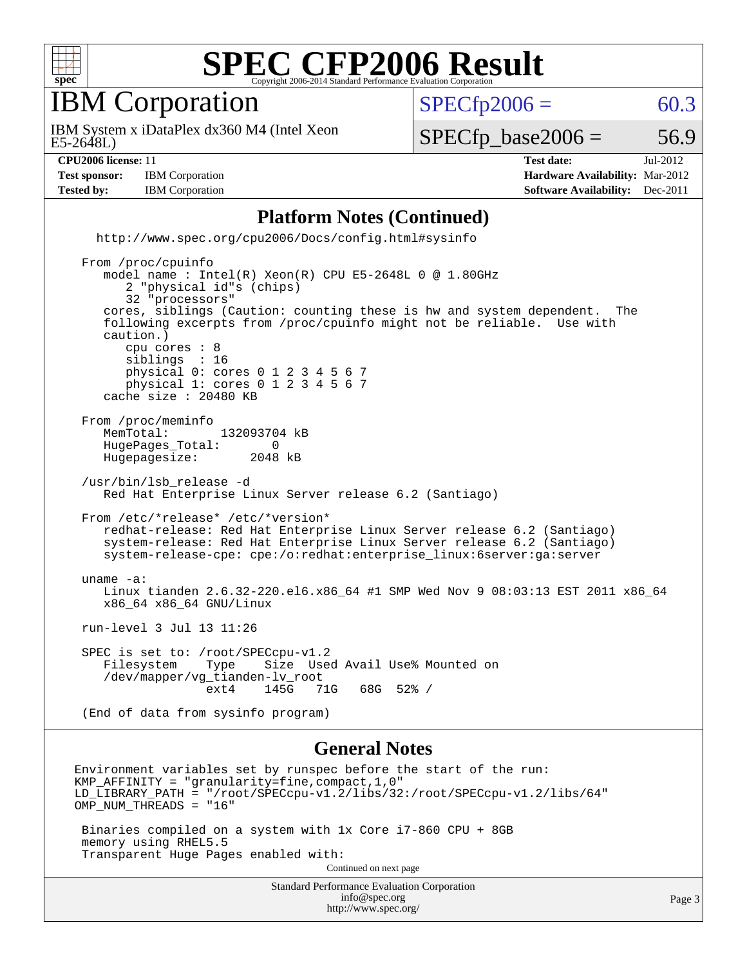

IBM Corporation

 $SPECTp2006 = 60.3$ 

E5-2648L) IBM System x iDataPlex dx360 M4 (Intel Xeon

 $SPECTp\_base2006 = 56.9$ 

**[Test sponsor:](http://www.spec.org/auto/cpu2006/Docs/result-fields.html#Testsponsor)** IBM Corporation **[Hardware Availability:](http://www.spec.org/auto/cpu2006/Docs/result-fields.html#HardwareAvailability)** Mar-2012

**[CPU2006 license:](http://www.spec.org/auto/cpu2006/Docs/result-fields.html#CPU2006license)** 11 **[Test date:](http://www.spec.org/auto/cpu2006/Docs/result-fields.html#Testdate)** Jul-2012 **[Tested by:](http://www.spec.org/auto/cpu2006/Docs/result-fields.html#Testedby)** IBM Corporation **[Software Availability:](http://www.spec.org/auto/cpu2006/Docs/result-fields.html#SoftwareAvailability)** Dec-2011

#### **[Platform Notes \(Continued\)](http://www.spec.org/auto/cpu2006/Docs/result-fields.html#PlatformNotes)**

 <http://www.spec.org/cpu2006/Docs/config.html#sysinfo> From /proc/cpuinfo model name : Intel(R) Xeon(R) CPU E5-2648L 0 @ 1.80GHz 2 "physical id"s (chips) 32 "processors" cores, siblings (Caution: counting these is hw and system dependent. The following excerpts from /proc/cpuinfo might not be reliable. Use with caution.) cpu cores : 8 siblings : 16 physical 0: cores 0 1 2 3 4 5 6 7 physical 1: cores 0 1 2 3 4 5 6 7 cache size : 20480 KB From /proc/meminfo<br>MemTotal: 132093704 kB HugePages\_Total: 0<br>Hugepagesize: 2048 kB Hugepagesize: /usr/bin/lsb\_release -d Red Hat Enterprise Linux Server release 6.2 (Santiago) From /etc/\*release\* /etc/\*version\* redhat-release: Red Hat Enterprise Linux Server release 6.2 (Santiago) system-release: Red Hat Enterprise Linux Server release 6.2 (Santiago) system-release-cpe: cpe:/o:redhat:enterprise\_linux:6server:ga:server uname -a: Linux tianden 2.6.32-220.el6.x86\_64 #1 SMP Wed Nov 9 08:03:13 EST 2011 x86\_64 x86\_64 x86\_64 GNU/Linux run-level 3 Jul 13 11:26 SPEC is set to: /root/SPECcpu-v1.2<br>Filesystem Type Size Use Type Size Used Avail Use% Mounted on /dev/mapper/vg\_tianden-lv\_root  $68G$   $52%$  / (End of data from sysinfo program)

#### **[General Notes](http://www.spec.org/auto/cpu2006/Docs/result-fields.html#GeneralNotes)**

<http://www.spec.org/>

Standard Performance Evaluation Corporation [info@spec.org](mailto:info@spec.org) Environment variables set by runspec before the start of the run: KMP\_AFFINITY = "granularity=fine,compact,1,0" LD\_LIBRARY\_PATH = "/root/SPECcpu-v1.2/libs/32:/root/SPECcpu-v1.2/libs/64" OMP NUM THREADS = "16" Binaries compiled on a system with 1x Core i7-860 CPU + 8GB memory using RHEL5.5 Transparent Huge Pages enabled with: Continued on next page

Page 3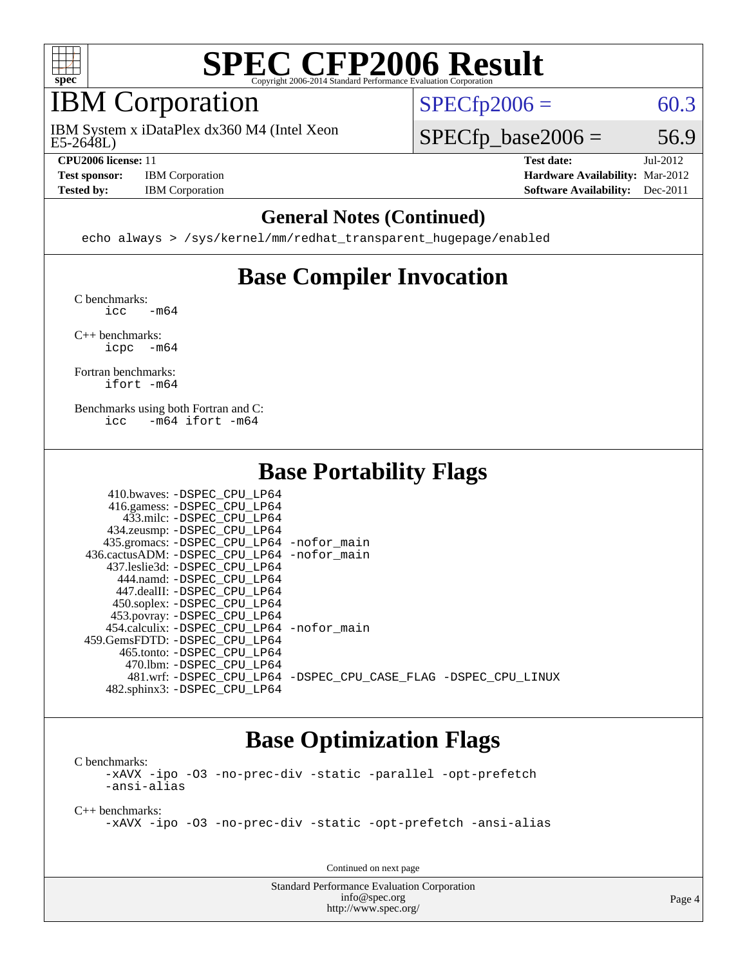

# IBM Corporation

E5-2648L) IBM System x iDataPlex dx360 M4 (Intel Xeon

**[Test sponsor:](http://www.spec.org/auto/cpu2006/Docs/result-fields.html#Testsponsor)** IBM Corporation **[Hardware Availability:](http://www.spec.org/auto/cpu2006/Docs/result-fields.html#HardwareAvailability)** Mar-2012

 $SPECTp2006 = 60.3$ 

 $SPECTp\_base2006 = 56.9$ 

**[CPU2006 license:](http://www.spec.org/auto/cpu2006/Docs/result-fields.html#CPU2006license)** 11 **[Test date:](http://www.spec.org/auto/cpu2006/Docs/result-fields.html#Testdate)** Jul-2012 **[Tested by:](http://www.spec.org/auto/cpu2006/Docs/result-fields.html#Testedby)** IBM Corporation **[Software Availability:](http://www.spec.org/auto/cpu2006/Docs/result-fields.html#SoftwareAvailability)** Dec-2011

#### **[General Notes \(Continued\)](http://www.spec.org/auto/cpu2006/Docs/result-fields.html#GeneralNotes)**

echo always > /sys/kernel/mm/redhat\_transparent\_hugepage/enabled

# **[Base Compiler Invocation](http://www.spec.org/auto/cpu2006/Docs/result-fields.html#BaseCompilerInvocation)**

[C benchmarks](http://www.spec.org/auto/cpu2006/Docs/result-fields.html#Cbenchmarks):  $\text{icc}$   $-\text{m64}$ 

[C++ benchmarks:](http://www.spec.org/auto/cpu2006/Docs/result-fields.html#CXXbenchmarks) [icpc -m64](http://www.spec.org/cpu2006/results/res2012q3/cpu2006-20120725-23829.flags.html#user_CXXbase_intel_icpc_64bit_bedb90c1146cab66620883ef4f41a67e)

[Fortran benchmarks](http://www.spec.org/auto/cpu2006/Docs/result-fields.html#Fortranbenchmarks): [ifort -m64](http://www.spec.org/cpu2006/results/res2012q3/cpu2006-20120725-23829.flags.html#user_FCbase_intel_ifort_64bit_ee9d0fb25645d0210d97eb0527dcc06e)

[Benchmarks using both Fortran and C](http://www.spec.org/auto/cpu2006/Docs/result-fields.html#BenchmarksusingbothFortranandC): [icc -m64](http://www.spec.org/cpu2006/results/res2012q3/cpu2006-20120725-23829.flags.html#user_CC_FCbase_intel_icc_64bit_0b7121f5ab7cfabee23d88897260401c) [ifort -m64](http://www.spec.org/cpu2006/results/res2012q3/cpu2006-20120725-23829.flags.html#user_CC_FCbase_intel_ifort_64bit_ee9d0fb25645d0210d97eb0527dcc06e)

# **[Base Portability Flags](http://www.spec.org/auto/cpu2006/Docs/result-fields.html#BasePortabilityFlags)**

| 410.bwaves: -DSPEC CPU LP64                |                                                                |
|--------------------------------------------|----------------------------------------------------------------|
| 416.gamess: -DSPEC_CPU_LP64                |                                                                |
| 433.milc: -DSPEC CPU LP64                  |                                                                |
| 434.zeusmp: -DSPEC_CPU_LP64                |                                                                |
| 435.gromacs: -DSPEC_CPU_LP64 -nofor_main   |                                                                |
| 436.cactusADM: -DSPEC CPU LP64 -nofor main |                                                                |
| 437.leslie3d: -DSPEC CPU LP64              |                                                                |
| 444.namd: -DSPEC CPU LP64                  |                                                                |
| 447.dealII: -DSPEC_CPU LP64                |                                                                |
| 450.soplex: -DSPEC_CPU_LP64                |                                                                |
| 453.povray: -DSPEC_CPU_LP64                |                                                                |
| 454.calculix: -DSPEC CPU LP64 -nofor main  |                                                                |
| 459.GemsFDTD: -DSPEC CPU LP64              |                                                                |
| 465.tonto: - DSPEC CPU LP64                |                                                                |
| 470.1bm: - DSPEC CPU LP64                  |                                                                |
|                                            | 481.wrf: -DSPEC_CPU_LP64 -DSPEC_CPU_CASE_FLAG -DSPEC_CPU_LINUX |
| 482.sphinx3: -DSPEC CPU LP64               |                                                                |

### **[Base Optimization Flags](http://www.spec.org/auto/cpu2006/Docs/result-fields.html#BaseOptimizationFlags)**

[C benchmarks](http://www.spec.org/auto/cpu2006/Docs/result-fields.html#Cbenchmarks): [-xAVX](http://www.spec.org/cpu2006/results/res2012q3/cpu2006-20120725-23829.flags.html#user_CCbase_f-xAVX) [-ipo](http://www.spec.org/cpu2006/results/res2012q3/cpu2006-20120725-23829.flags.html#user_CCbase_f-ipo) [-O3](http://www.spec.org/cpu2006/results/res2012q3/cpu2006-20120725-23829.flags.html#user_CCbase_f-O3) [-no-prec-div](http://www.spec.org/cpu2006/results/res2012q3/cpu2006-20120725-23829.flags.html#user_CCbase_f-no-prec-div) [-static](http://www.spec.org/cpu2006/results/res2012q3/cpu2006-20120725-23829.flags.html#user_CCbase_f-static) [-parallel](http://www.spec.org/cpu2006/results/res2012q3/cpu2006-20120725-23829.flags.html#user_CCbase_f-parallel) [-opt-prefetch](http://www.spec.org/cpu2006/results/res2012q3/cpu2006-20120725-23829.flags.html#user_CCbase_f-opt-prefetch) [-ansi-alias](http://www.spec.org/cpu2006/results/res2012q3/cpu2006-20120725-23829.flags.html#user_CCbase_f-ansi-alias)

[C++ benchmarks:](http://www.spec.org/auto/cpu2006/Docs/result-fields.html#CXXbenchmarks)

[-xAVX](http://www.spec.org/cpu2006/results/res2012q3/cpu2006-20120725-23829.flags.html#user_CXXbase_f-xAVX) [-ipo](http://www.spec.org/cpu2006/results/res2012q3/cpu2006-20120725-23829.flags.html#user_CXXbase_f-ipo) [-O3](http://www.spec.org/cpu2006/results/res2012q3/cpu2006-20120725-23829.flags.html#user_CXXbase_f-O3) [-no-prec-div](http://www.spec.org/cpu2006/results/res2012q3/cpu2006-20120725-23829.flags.html#user_CXXbase_f-no-prec-div) [-static](http://www.spec.org/cpu2006/results/res2012q3/cpu2006-20120725-23829.flags.html#user_CXXbase_f-static) [-opt-prefetch](http://www.spec.org/cpu2006/results/res2012q3/cpu2006-20120725-23829.flags.html#user_CXXbase_f-opt-prefetch) [-ansi-alias](http://www.spec.org/cpu2006/results/res2012q3/cpu2006-20120725-23829.flags.html#user_CXXbase_f-ansi-alias)

Continued on next page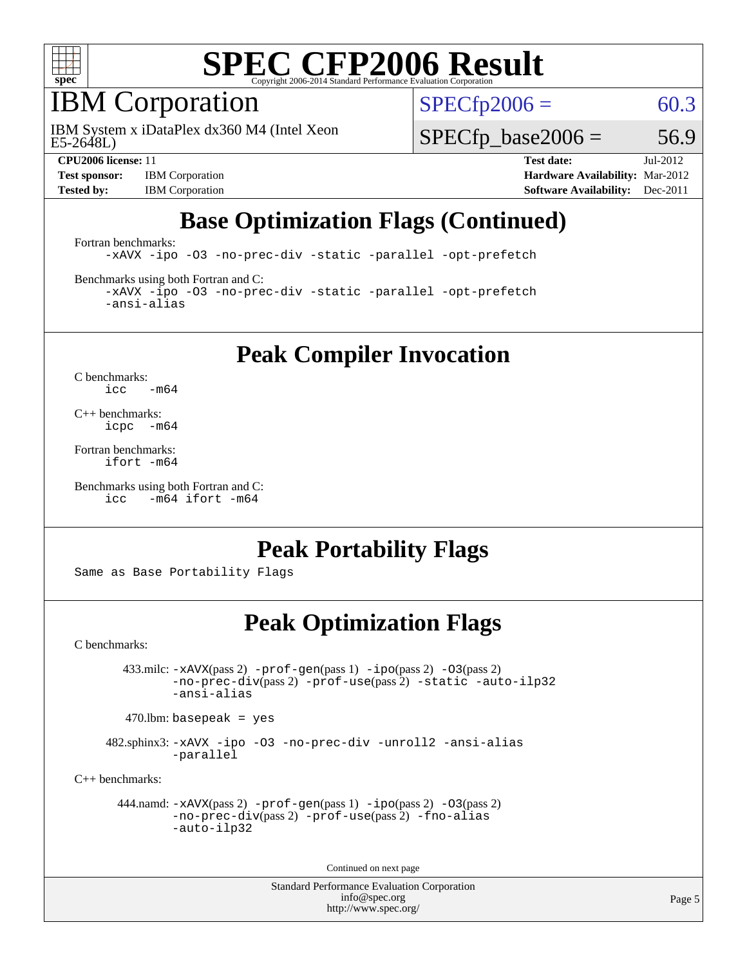

# IBM Corporation

E5-2648L) IBM System x iDataPlex dx360 M4 (Intel Xeon  $SPECTp2006 = 60.3$ 

 $SPECTp\_base2006 = 56.9$ 

**[Test sponsor:](http://www.spec.org/auto/cpu2006/Docs/result-fields.html#Testsponsor)** IBM Corporation **[Hardware Availability:](http://www.spec.org/auto/cpu2006/Docs/result-fields.html#HardwareAvailability)** Mar-2012

**[CPU2006 license:](http://www.spec.org/auto/cpu2006/Docs/result-fields.html#CPU2006license)** 11 **[Test date:](http://www.spec.org/auto/cpu2006/Docs/result-fields.html#Testdate)** Jul-2012 **[Tested by:](http://www.spec.org/auto/cpu2006/Docs/result-fields.html#Testedby)** IBM Corporation **[Software Availability:](http://www.spec.org/auto/cpu2006/Docs/result-fields.html#SoftwareAvailability)** Dec-2011

# **[Base Optimization Flags \(Continued\)](http://www.spec.org/auto/cpu2006/Docs/result-fields.html#BaseOptimizationFlags)**

[Fortran benchmarks](http://www.spec.org/auto/cpu2006/Docs/result-fields.html#Fortranbenchmarks):

[-xAVX](http://www.spec.org/cpu2006/results/res2012q3/cpu2006-20120725-23829.flags.html#user_FCbase_f-xAVX) [-ipo](http://www.spec.org/cpu2006/results/res2012q3/cpu2006-20120725-23829.flags.html#user_FCbase_f-ipo) [-O3](http://www.spec.org/cpu2006/results/res2012q3/cpu2006-20120725-23829.flags.html#user_FCbase_f-O3) [-no-prec-div](http://www.spec.org/cpu2006/results/res2012q3/cpu2006-20120725-23829.flags.html#user_FCbase_f-no-prec-div) [-static](http://www.spec.org/cpu2006/results/res2012q3/cpu2006-20120725-23829.flags.html#user_FCbase_f-static) [-parallel](http://www.spec.org/cpu2006/results/res2012q3/cpu2006-20120725-23829.flags.html#user_FCbase_f-parallel) [-opt-prefetch](http://www.spec.org/cpu2006/results/res2012q3/cpu2006-20120725-23829.flags.html#user_FCbase_f-opt-prefetch)

[Benchmarks using both Fortran and C](http://www.spec.org/auto/cpu2006/Docs/result-fields.html#BenchmarksusingbothFortranandC):

[-xAVX](http://www.spec.org/cpu2006/results/res2012q3/cpu2006-20120725-23829.flags.html#user_CC_FCbase_f-xAVX) [-ipo](http://www.spec.org/cpu2006/results/res2012q3/cpu2006-20120725-23829.flags.html#user_CC_FCbase_f-ipo) [-O3](http://www.spec.org/cpu2006/results/res2012q3/cpu2006-20120725-23829.flags.html#user_CC_FCbase_f-O3) [-no-prec-div](http://www.spec.org/cpu2006/results/res2012q3/cpu2006-20120725-23829.flags.html#user_CC_FCbase_f-no-prec-div) [-static](http://www.spec.org/cpu2006/results/res2012q3/cpu2006-20120725-23829.flags.html#user_CC_FCbase_f-static) [-parallel](http://www.spec.org/cpu2006/results/res2012q3/cpu2006-20120725-23829.flags.html#user_CC_FCbase_f-parallel) [-opt-prefetch](http://www.spec.org/cpu2006/results/res2012q3/cpu2006-20120725-23829.flags.html#user_CC_FCbase_f-opt-prefetch) [-ansi-alias](http://www.spec.org/cpu2006/results/res2012q3/cpu2006-20120725-23829.flags.html#user_CC_FCbase_f-ansi-alias)

**[Peak Compiler Invocation](http://www.spec.org/auto/cpu2006/Docs/result-fields.html#PeakCompilerInvocation)**

[C benchmarks](http://www.spec.org/auto/cpu2006/Docs/result-fields.html#Cbenchmarks):  $\text{icc}$  -m64

[C++ benchmarks:](http://www.spec.org/auto/cpu2006/Docs/result-fields.html#CXXbenchmarks) [icpc -m64](http://www.spec.org/cpu2006/results/res2012q3/cpu2006-20120725-23829.flags.html#user_CXXpeak_intel_icpc_64bit_bedb90c1146cab66620883ef4f41a67e)

[Fortran benchmarks](http://www.spec.org/auto/cpu2006/Docs/result-fields.html#Fortranbenchmarks): [ifort -m64](http://www.spec.org/cpu2006/results/res2012q3/cpu2006-20120725-23829.flags.html#user_FCpeak_intel_ifort_64bit_ee9d0fb25645d0210d97eb0527dcc06e)

[Benchmarks using both Fortran and C](http://www.spec.org/auto/cpu2006/Docs/result-fields.html#BenchmarksusingbothFortranandC): [icc -m64](http://www.spec.org/cpu2006/results/res2012q3/cpu2006-20120725-23829.flags.html#user_CC_FCpeak_intel_icc_64bit_0b7121f5ab7cfabee23d88897260401c) [ifort -m64](http://www.spec.org/cpu2006/results/res2012q3/cpu2006-20120725-23829.flags.html#user_CC_FCpeak_intel_ifort_64bit_ee9d0fb25645d0210d97eb0527dcc06e)

## **[Peak Portability Flags](http://www.spec.org/auto/cpu2006/Docs/result-fields.html#PeakPortabilityFlags)**

Same as Base Portability Flags

## **[Peak Optimization Flags](http://www.spec.org/auto/cpu2006/Docs/result-fields.html#PeakOptimizationFlags)**

[C benchmarks](http://www.spec.org/auto/cpu2006/Docs/result-fields.html#Cbenchmarks):

 433.milc: [-xAVX](http://www.spec.org/cpu2006/results/res2012q3/cpu2006-20120725-23829.flags.html#user_peakPASS2_CFLAGSPASS2_LDFLAGS433_milc_f-xAVX)(pass 2) [-prof-gen](http://www.spec.org/cpu2006/results/res2012q3/cpu2006-20120725-23829.flags.html#user_peakPASS1_CFLAGSPASS1_LDFLAGS433_milc_prof_gen_e43856698f6ca7b7e442dfd80e94a8fc)(pass 1) [-ipo](http://www.spec.org/cpu2006/results/res2012q3/cpu2006-20120725-23829.flags.html#user_peakPASS2_CFLAGSPASS2_LDFLAGS433_milc_f-ipo)(pass 2) [-O3](http://www.spec.org/cpu2006/results/res2012q3/cpu2006-20120725-23829.flags.html#user_peakPASS2_CFLAGSPASS2_LDFLAGS433_milc_f-O3)(pass 2) [-no-prec-div](http://www.spec.org/cpu2006/results/res2012q3/cpu2006-20120725-23829.flags.html#user_peakPASS2_CFLAGSPASS2_LDFLAGS433_milc_f-no-prec-div)(pass 2) [-prof-use](http://www.spec.org/cpu2006/results/res2012q3/cpu2006-20120725-23829.flags.html#user_peakPASS2_CFLAGSPASS2_LDFLAGS433_milc_prof_use_bccf7792157ff70d64e32fe3e1250b55)(pass 2) [-static](http://www.spec.org/cpu2006/results/res2012q3/cpu2006-20120725-23829.flags.html#user_peakOPTIMIZE433_milc_f-static) [-auto-ilp32](http://www.spec.org/cpu2006/results/res2012q3/cpu2006-20120725-23829.flags.html#user_peakCOPTIMIZE433_milc_f-auto-ilp32) [-ansi-alias](http://www.spec.org/cpu2006/results/res2012q3/cpu2006-20120725-23829.flags.html#user_peakCOPTIMIZE433_milc_f-ansi-alias)

 $470.$ lbm: basepeak = yes

 482.sphinx3: [-xAVX](http://www.spec.org/cpu2006/results/res2012q3/cpu2006-20120725-23829.flags.html#user_peakOPTIMIZE482_sphinx3_f-xAVX) [-ipo](http://www.spec.org/cpu2006/results/res2012q3/cpu2006-20120725-23829.flags.html#user_peakOPTIMIZE482_sphinx3_f-ipo) [-O3](http://www.spec.org/cpu2006/results/res2012q3/cpu2006-20120725-23829.flags.html#user_peakOPTIMIZE482_sphinx3_f-O3) [-no-prec-div](http://www.spec.org/cpu2006/results/res2012q3/cpu2006-20120725-23829.flags.html#user_peakOPTIMIZE482_sphinx3_f-no-prec-div) [-unroll2](http://www.spec.org/cpu2006/results/res2012q3/cpu2006-20120725-23829.flags.html#user_peakCOPTIMIZE482_sphinx3_f-unroll_784dae83bebfb236979b41d2422d7ec2) [-ansi-alias](http://www.spec.org/cpu2006/results/res2012q3/cpu2006-20120725-23829.flags.html#user_peakCOPTIMIZE482_sphinx3_f-ansi-alias) [-parallel](http://www.spec.org/cpu2006/results/res2012q3/cpu2006-20120725-23829.flags.html#user_peakCOPTIMIZE482_sphinx3_f-parallel)

[C++ benchmarks:](http://www.spec.org/auto/cpu2006/Docs/result-fields.html#CXXbenchmarks)

```
 444.namd: -xAVX(pass 2) -prof-gen(pass 1) -ipo(pass 2) -O3(pass 2)
         -no-prec-div(pass 2) -prof-use(pass 2) -fno-alias
         -auto-ilp32
```
Continued on next page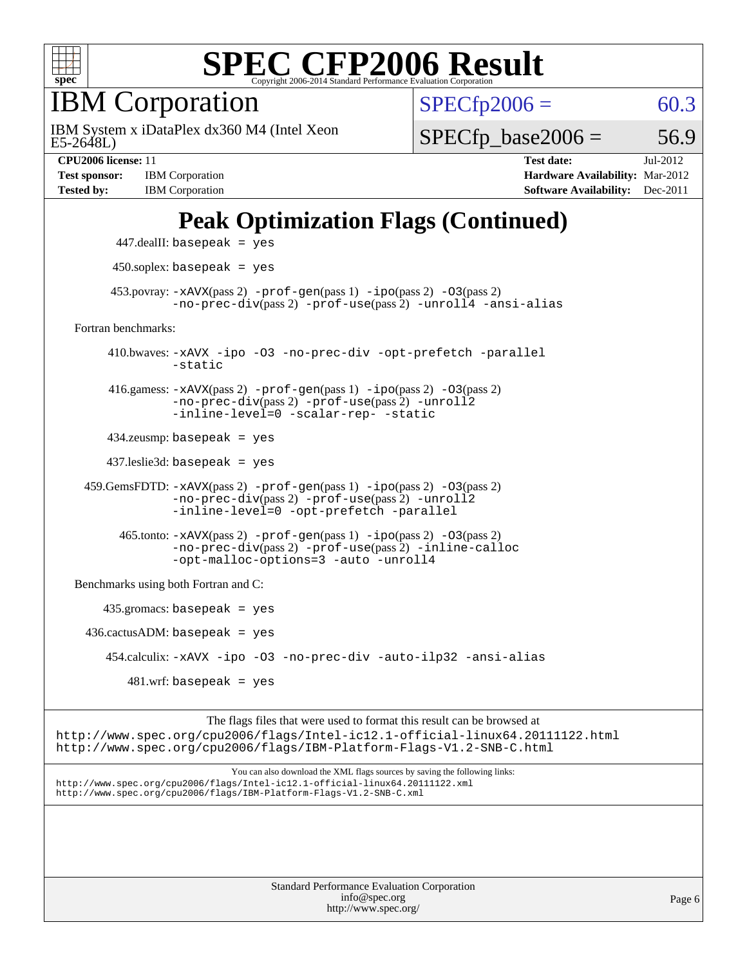

IBM Corporation

E5-2648L) IBM System x iDataPlex dx360 M4 (Intel Xeon  $SPECfp2006 = 60.3$  $SPECfp2006 = 60.3$ 

 $SPECTp\_base2006 = 56.9$ 

**[Test sponsor:](http://www.spec.org/auto/cpu2006/Docs/result-fields.html#Testsponsor)** IBM Corporation **[Hardware Availability:](http://www.spec.org/auto/cpu2006/Docs/result-fields.html#HardwareAvailability)** Mar-2012 **[Tested by:](http://www.spec.org/auto/cpu2006/Docs/result-fields.html#Testedby)** IBM Corporation **[Software Availability:](http://www.spec.org/auto/cpu2006/Docs/result-fields.html#SoftwareAvailability)** Dec-2011

**[CPU2006 license:](http://www.spec.org/auto/cpu2006/Docs/result-fields.html#CPU2006license)** 11 **[Test date:](http://www.spec.org/auto/cpu2006/Docs/result-fields.html#Testdate)** Jul-2012

# **[Peak Optimization Flags \(Continued\)](http://www.spec.org/auto/cpu2006/Docs/result-fields.html#PeakOptimizationFlags)**

```
 447.dealII: basepeak = yes
       450.soplex: basepeak = yes
     453.povray: -xAVX(pass 2) -prof-gen(pass 1) -ipo(pass 2) -03(pass 2)
               -no-prec-div(pass 2) -prof-use(pass 2) -unroll4 -ansi-alias
Fortran benchmarks: 
      410.bwaves: -xAVX -ipo -O3 -no-prec-div -opt-prefetch -parallel
               -static
      416.gamess: -xAVX(pass 2) -prof-gen(pass 1) -ipo(pass 2) -O3(pass 2)
               -no-prec-div(pass 2) -prof-use(pass 2) -unroll2
               -inline-level=0 -scalar-rep- -static
      434.zeusmp: basepeak = yes
      437.leslie3d: basepeak = yes
  459.GemsFDTD: -xAVX(pass 2) -prof-gen(pass 1) -ipo(pass 2) -O3(pass 2)
               -no-prec-div(pass 2) -prof-use(pass 2) -unroll2
               -inline-level=0 -opt-prefetch -parallel
       465.tonto: -xAVX(pass 2) -prof-gen(pass 1) -po(pass 2) -03(pass 2)
               -no-prec-div(pass 2) -prof-use(pass 2) -inline-calloc
               -opt-malloc-options=3-auto-unroll4
Benchmarks using both Fortran and C: 
     435.gromacs: basepeak = yes
 436.cactusADM:basepeak = yes 454.calculix: -xAVX -ipo -O3 -no-prec-div -auto-ilp32 -ansi-alias
        481 \text{.m}: basepeak = yes
```
The flags files that were used to format this result can be browsed at <http://www.spec.org/cpu2006/flags/Intel-ic12.1-official-linux64.20111122.html> <http://www.spec.org/cpu2006/flags/IBM-Platform-Flags-V1.2-SNB-C.html>

You can also download the XML flags sources by saving the following links: <http://www.spec.org/cpu2006/flags/Intel-ic12.1-official-linux64.20111122.xml> <http://www.spec.org/cpu2006/flags/IBM-Platform-Flags-V1.2-SNB-C.xml>